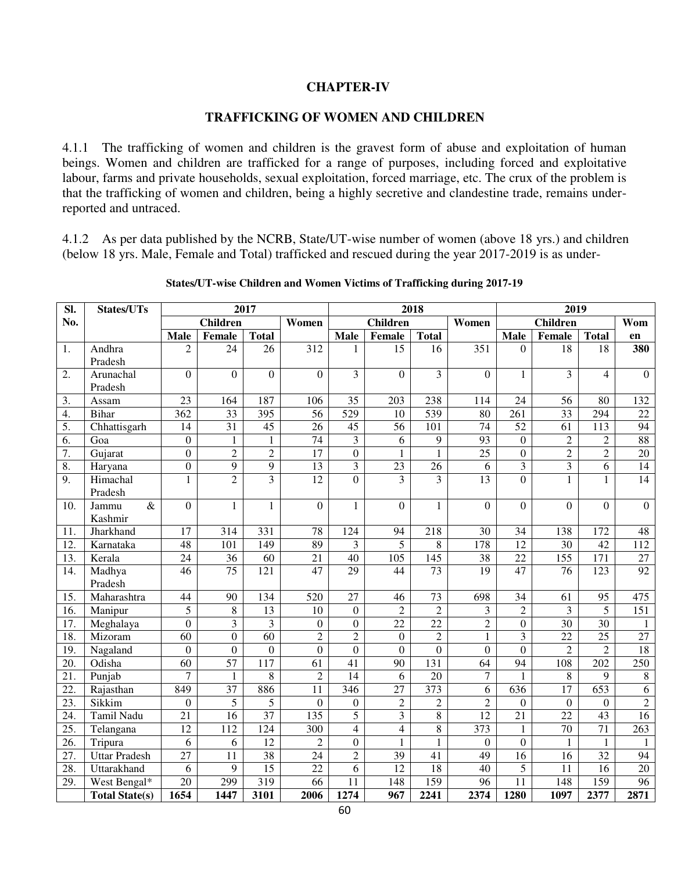#### **CHAPTER-IV**

#### **TRAFFICKING OF WOMEN AND CHILDREN**

4.1.1 The trafficking of women and children is the gravest form of abuse and exploitation of human beings. Women and children are trafficked for a range of purposes, including forced and exploitative labour, farms and private households, sexual exploitation, forced marriage, etc. The crux of the problem is that the trafficking of women and children, being a highly secretive and clandestine trade, remains underreported and untraced.

4.1.2 As per data published by the NCRB, State/UT-wise number of women (above 18 yrs.) and children (below 18 yrs. Male, Female and Total) trafficked and rescued during the year 2017-2019 is as under-

| SI.               | 2017<br>States/UTs    |                          |                  | 2018            |                  |                  | 2019                 |                  |                  |                         |                         |                          |                        |
|-------------------|-----------------------|--------------------------|------------------|-----------------|------------------|------------------|----------------------|------------------|------------------|-------------------------|-------------------------|--------------------------|------------------------|
| No.               |                       | <b>Children</b><br>Women |                  | <b>Children</b> |                  |                  | Women                | <b>Children</b>  |                  | Wom                     |                         |                          |                        |
|                   |                       | <b>Male</b>              | Female           | <b>Total</b>    |                  | <b>Male</b>      | Female               | <b>Total</b>     |                  | <b>Male</b>             | Female                  | <b>Total</b>             | en                     |
| 1.                | Andhra                | $\overline{c}$           | 24               | 26              | 312              | $\mathbf{1}$     | $\overline{15}$      | 16               | 351              | $\theta$                | 18                      | 18                       | 380                    |
|                   | Pradesh               |                          |                  |                 |                  |                  |                      |                  |                  |                         |                         |                          |                        |
| $\overline{2}$ .  | Arunachal             | $\overline{0}$           | $\overline{0}$   | $\Omega$        | $\Omega$         | $\overline{3}$   | $\theta$             | $\overline{3}$   | $\overline{0}$   | $\mathbf{1}$            | $\overline{3}$          | $\overline{\mathcal{L}}$ | $\overline{0}$         |
|                   | Pradesh               |                          |                  |                 |                  |                  |                      |                  |                  |                         |                         |                          |                        |
| 3.                | Assam                 | $\overline{23}$          | 164              | 187             | 106              | $\overline{35}$  | 203                  | 238              | 114              | 24                      | 56                      | 80                       | 132                    |
| 4.                | Bihar                 | $\overline{362}$         | $\overline{33}$  | 395             | 56               | $\overline{529}$ | 10                   | $\overline{539}$ | 80               | $\overline{261}$        | $\overline{33}$         | 294                      | 22                     |
| 5.                | Chhattisgarh          | 14                       | $\overline{31}$  | 45              | 26               | 45               | 56                   | 101              | 74               | $\overline{52}$         | $\overline{61}$         | 113                      | 94                     |
| 6.                | Goa                   | $\overline{0}$           | $\mathbf{1}$     | $\mathbf{1}$    | $\overline{74}$  | $\overline{3}$   | 6                    | 9                | $\overline{93}$  | $\overline{0}$          | $\overline{2}$          | $\overline{2}$           | 88                     |
| 7.                | Gujarat               | $\boldsymbol{0}$         | $\overline{2}$   | $\overline{2}$  | 17               | $\overline{0}$   | $\mathbf{1}$         | $\mathbf{1}$     | 25               | $\boldsymbol{0}$        | $\overline{c}$          | $\overline{2}$           | 20                     |
| $\overline{8}$ .  | Haryana               | $\boldsymbol{0}$         | $\overline{9}$   | $\overline{9}$  | $\overline{13}$  | $\overline{3}$   | $\overline{23}$      | 26               | 6                | $\overline{\mathbf{3}}$ | $\overline{\mathbf{3}}$ | 6                        | 14                     |
| 9.                | Himachal<br>Pradesh   | $\mathbf{1}$             | $\overline{2}$   | $\overline{3}$  | 12               | $\overline{0}$   | 3                    | $\overline{3}$   | $\overline{13}$  | $\boldsymbol{0}$        | $\mathbf{1}$            | $\mathbf{1}$             | 14                     |
| 10.               | $\&$<br>Jammu         | $\overline{0}$           | $\mathbf{1}$     | $\mathbf{1}$    | $\Omega$         | $\mathbf{1}$     | $\overline{0}$       | $\mathbf{1}$     | $\overline{0}$   | $\Omega$                | $\overline{0}$          | $\Omega$                 | $\overline{0}$         |
| 11.               | Kashmir<br>Jharkhand  | 17                       | 314              | 331             |                  | 124              |                      | 218              | 30               | 34                      | 138                     | 172                      |                        |
| 12.               | Karnataka             | 48                       | 101              | 149             | 78<br>89         | 3                | 94<br>$\overline{5}$ | 8                | $\overline{178}$ | 12                      | $\overline{30}$         | $\overline{42}$          | 48<br>$\overline{112}$ |
| 13.               |                       |                          | 36               | 60              |                  | 40               | $\overline{105}$     | 145              | $\overline{38}$  |                         | $\overline{155}$        |                          | $\overline{27}$        |
| 14.               | Kerala                | 24<br>$\overline{46}$    | 75               | 121             | 21<br>47         | $\overline{29}$  | 44                   | $\overline{73}$  | $\overline{19}$  | 22<br>47                | $\overline{76}$         | 171<br>123               | $\overline{92}$        |
|                   | Madhya<br>Pradesh     |                          |                  |                 |                  |                  |                      |                  |                  |                         |                         |                          |                        |
| 15.               | Maharashtra           | 44                       | 90               | 134             | 520              | $\overline{27}$  | 46                   | 73               | 698              | 34                      | 61                      | 95                       | 475                    |
| 16.               | Manipur               | 5                        | 8                | $\overline{13}$ | 10               | $\boldsymbol{0}$ | $\overline{2}$       | $\overline{2}$   | 3                | $\overline{2}$          | 3                       | $\overline{5}$           | $\overline{151}$       |
| 17.               | Meghalaya             | $\boldsymbol{0}$         | 3                | 3               | $\boldsymbol{0}$ | $\boldsymbol{0}$ | $\overline{22}$      | $\overline{22}$  | $\overline{c}$   | $\boldsymbol{0}$        | $\overline{30}$         | 30                       | 1                      |
| 18.               | Mizoram               | 60                       | $\overline{0}$   | 60              | $\overline{2}$   | $\overline{2}$   | $\overline{0}$       | $\overline{2}$   | $\mathbf{1}$     | $\overline{3}$          | 22                      | 25                       | $\overline{27}$        |
| 19.               | Nagaland              | $\boldsymbol{0}$         | $\overline{0}$   | $\overline{0}$  | $\overline{0}$   | $\overline{0}$   | $\overline{0}$       | $\overline{0}$   | $\overline{0}$   | $\overline{0}$          | $\overline{2}$          | $\overline{2}$           | 18                     |
| 20.               | Odisha                | $\overline{60}$          | 57               | 117             | 61               | $\overline{41}$  | $\overline{90}$      | 131              | $\overline{64}$  | $\overline{94}$         | $\overline{108}$        | $\overline{202}$         | $\overline{250}$       |
| $\overline{21}$ . | Punjab                | $\overline{7}$           | $\mathbf{1}$     | 8               | $\overline{2}$   | 14               | 6                    | 20               | $\overline{7}$   | $\mathbf{1}$            | $\,8\,$                 | 9                        | $8\,$                  |
| 22.               | Rajasthan             | 849                      | $\overline{37}$  | 886             | 11               | 346              | 27                   | 373              | 6                | 636                     | $\overline{17}$         | 653                      | $\sqrt{6}$             |
| 23.               | Sikkim                | $\boldsymbol{0}$         | 5                | 5               | $\mathbf{0}$     | $\boldsymbol{0}$ | $\overline{2}$       | $\overline{2}$   | $\overline{2}$   | $\boldsymbol{0}$        | $\overline{0}$          | $\boldsymbol{0}$         | $\overline{2}$         |
| 24.               | Tamil Nadu            | 21                       | 16               | 37              | 135              | 5                | 3                    | 8                | 12               | 21                      | 22                      | 43                       | 16                     |
| $\overline{25}$ . | Telangana             | 12                       | $\overline{112}$ | 124             | 300              | $\overline{4}$   | $\overline{4}$       | $\overline{8}$   | 373              | $\mathbf{1}$            | $\overline{70}$         | $\overline{71}$          | $\overline{263}$       |
| 26.               | Tripura               | 6                        | 6                | 12              | $\overline{c}$   | $\boldsymbol{0}$ | $\mathbf{1}$         | $\mathbf{1}$     | $\boldsymbol{0}$ | $\boldsymbol{0}$        | $\mathbf{1}$            | 1                        | $\mathbf{1}$           |
| 27.               | <b>Uttar Pradesh</b>  | $\overline{27}$          | 11               | 38              | 24               | $\overline{2}$   | $\overline{39}$      | 41               | 49               | 16                      | 16                      | 32                       | $\overline{94}$        |
| 28.               | Uttarakhand           | 6                        | 9                | $\overline{15}$ | 22               | 6                | $\overline{12}$      | 18               | 40               | 5                       | 11                      | 16                       | $\overline{20}$        |
| 29.               | West Bengal*          | 20                       | 299              | 319             | 66               | 11               | 148                  | 159              | 96               | 11                      | 148                     | 159                      | 96                     |
|                   | <b>Total State(s)</b> | 1654                     | 1447             | 3101            | 2006             | 1274             | 967                  | 2241             | 2374             | 1280                    | 1097                    | 2377                     | 2871                   |

#### **States/UT-wise Children and Women Victims of Trafficking during 2017-19**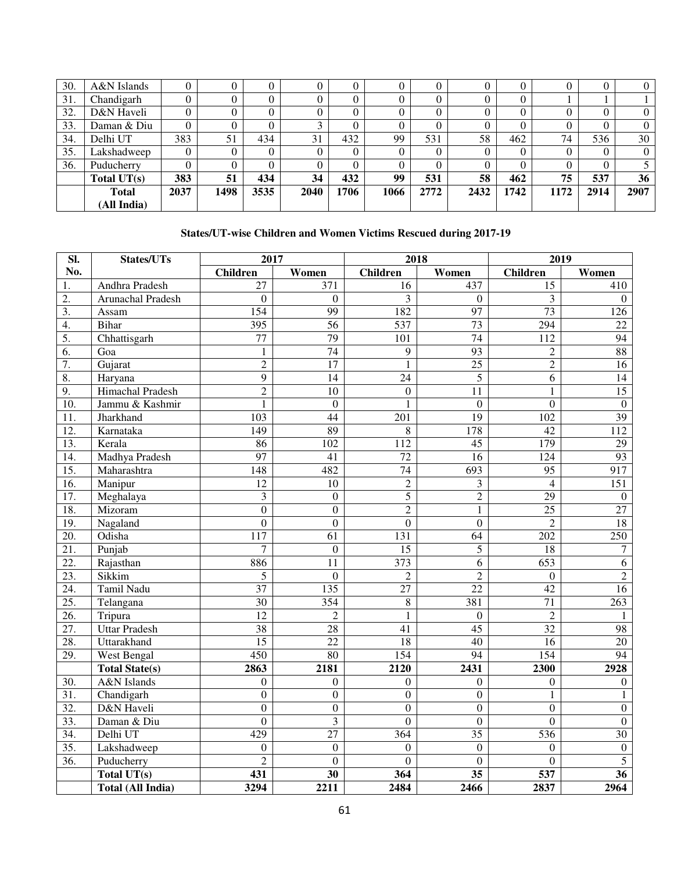| 30. | A&N Islands   |      | U              |      |      |          |      |      |                |          |          |      | 0        |
|-----|---------------|------|----------------|------|------|----------|------|------|----------------|----------|----------|------|----------|
| 31. | Chandigarh    |      | $\theta$       |      |      |          |      |      | U              | O        |          |      |          |
| 32. | D&N Haveli    | 0    | $\theta$       |      |      |          |      | 0    | $\overline{0}$ |          | $\theta$ |      | $\theta$ |
| 33. | Daman & Diu   | 0    | $\overline{0}$ |      |      | $^{(1)}$ |      | 0.   | $^{(1)}$       | $\theta$ |          |      | $\Omega$ |
| 34. | Delhi UT      | 383  | 51             | 434  | 31   | 432      | 99   | 531  | 58             | 462      | 74       | 536  | 30       |
| 35. | Lakshadweep   | 0    | 0              |      |      |          |      | 0    | 0              | $\theta$ | $\Omega$ |      | $\theta$ |
| 36. | Puducherry    | 0    | $\theta$       |      |      | 0        |      | 0.   |                | $\Omega$ | $\Omega$ |      |          |
|     | Total $UT(s)$ | 383  | 51             | 434  | 34   | 432      | 99   | 531  | 58             | 462      | 75       | 537  | 36       |
|     | <b>Total</b>  | 2037 | 1498           | 3535 | 2040 | 1706     | 1066 | 2772 | 2432           | 1742     | 1172     | 2914 | 2907     |
|     | (All India)   |      |                |      |      |          |      |      |                |          |          |      |          |

# **States/UT-wise Children and Women Victims Rescued during 2017-19**

| SI.              | States/UTs               | 2017                    |                         | 2018            |                  | 2019             |                  |  |
|------------------|--------------------------|-------------------------|-------------------------|-----------------|------------------|------------------|------------------|--|
| No.              |                          | Children                | Women                   | <b>Children</b> | Women            | <b>Children</b>  | Women            |  |
| 1.               | Andhra Pradesh           | 27                      | 371                     | 16              | 437              | 15               | 410              |  |
| 2.               | Arunachal Pradesh        | $\overline{0}$          | $\Omega$                | 3               | $\Omega$         | 3                | $\Omega$         |  |
| $\overline{3}$ . | Assam                    | 154                     | 99                      | 182             | 97               | $\overline{73}$  | 126              |  |
| $\overline{4}$ . | <b>Bihar</b>             | 395                     | 56                      | 537             | 73               | 294              | 22               |  |
| 5.               | Chhattisgarh             | 77                      | 79                      | 101             | 74               | 112              | 94               |  |
| 6.               | Goa                      | 1                       | $\overline{74}$         | 9               | 93               | $\overline{2}$   | 88               |  |
| $\overline{7}$ . | Gujarat                  | $\overline{2}$          | $\overline{17}$         | $\mathbf{1}$    | $\overline{25}$  | $\overline{2}$   | 16               |  |
| $\overline{8}$ . | Haryana                  | $\overline{9}$          | 14                      | 24              | 5                | 6                | 14               |  |
| 9.               | <b>Himachal Pradesh</b>  | $\overline{2}$          | 10                      | $\Omega$        | 11               | $\mathbf{1}$     | 15               |  |
| 10.              | Jammu & Kashmir          | 1                       | $\overline{0}$          | 1               | $\overline{0}$   | $\overline{0}$   | $\boldsymbol{0}$ |  |
| 11.              | Jharkhand                | $\overline{103}$        | 44                      | 201             | 19               | $\overline{102}$ | 39               |  |
| 12.              | Karnataka                | 149                     | 89                      | 8               | 178              | 42               | 112              |  |
| 13.              | Kerala                   | 86                      | 102                     | 112             | 45               | 179              | 29               |  |
| 14.              | Madhya Pradesh           | $\overline{97}$         | 41                      | 72              | 16               | 124              | $\overline{93}$  |  |
| 15.              | Maharashtra              | 148                     | 482                     | 74              | 693              | 95               | 917              |  |
| 16.              | Manipur                  | $\overline{12}$         | 10                      | $\overline{2}$  | 3                | $\overline{4}$   | 151              |  |
| 17.              | Meghalaya                | $\overline{\mathbf{3}}$ | $\overline{0}$          | $\overline{5}$  | $\overline{2}$   | $\overline{29}$  | $\boldsymbol{0}$ |  |
| 18.              | Mizoram                  | $\overline{0}$          | $\overline{0}$          | $\overline{2}$  | $\mathbf{1}$     | $\overline{25}$  | $\overline{27}$  |  |
| 19.              | Nagaland                 | $\overline{0}$          | $\overline{0}$          | $\overline{0}$  | $\overline{0}$   | $\overline{2}$   | 18               |  |
| 20.              | Odisha                   | 117                     | 61                      | 131             | 64               | 202              | 250              |  |
| 21.              | Punjab                   | $\overline{7}$          | $\mathbf{0}$            | $\overline{15}$ | 5                | 18               | $\boldsymbol{7}$ |  |
| 22.              | Rajasthan                | 886                     | 11                      | 373             | 6                | 653              | 6                |  |
| 23.              | Sikkim                   | 5                       | $\overline{0}$          | $\overline{2}$  | $\overline{2}$   | $\overline{0}$   | $\overline{2}$   |  |
| 24.              | Tamil Nadu               | 37                      | 135                     | 27              | 22               | $\overline{42}$  | 16               |  |
| 25.              | Telangana                | 30                      | 354                     | 8               | 381              | 71               | 263              |  |
| 26.              | Tripura                  | $\overline{12}$         | $\overline{c}$          | 1               | $\boldsymbol{0}$ | $\sqrt{2}$       | 1                |  |
| 27.              | <b>Uttar Pradesh</b>     | 38                      | 28                      | 41              | $\overline{45}$  | 32               | 98               |  |
| 28.              | Uttarakhand              | $\overline{15}$         | $\overline{22}$         | 18              | 40               | 16               | 20               |  |
| 29.              | West Bengal              | 450                     | 80                      | 154             | 94               | 154              | 94               |  |
|                  | <b>Total State(s)</b>    | 2863                    | 2181                    | 2120            | 2431             | 2300             | 2928             |  |
| 30.              | A&N Islands              | $\theta$                | $\boldsymbol{0}$        | $\mathbf{0}$    | $\mathbf{0}$     | $\boldsymbol{0}$ | $\mathbf{0}$     |  |
| 31.              | Chandigarh               | $\overline{0}$          | $\overline{0}$          | $\overline{0}$  | $\overline{0}$   | $\mathbf{1}$     | 1                |  |
| 32.              | D&N Haveli               | $\overline{0}$          | $\overline{0}$          | $\overline{0}$  | $\overline{0}$   | $\overline{0}$   | $\overline{0}$   |  |
| 33.              | Daman & Diu              | $\overline{0}$          | $\overline{\mathbf{3}}$ | $\overline{0}$  | $\overline{0}$   | $\overline{0}$   | $\overline{0}$   |  |
| 34.              | Delhi UT                 | 429                     | $\overline{27}$         | 364             | $\overline{35}$  | 536              | $\overline{30}$  |  |
| 35.              | Lakshadweep              | $\boldsymbol{0}$        | $\mathbf{0}$            | $\mathbf{0}$    | $\boldsymbol{0}$ | $\theta$         | $\boldsymbol{0}$ |  |
| 36.              | Puducherry               | $\overline{2}$          | $\overline{0}$          | $\mathbf{0}$    | $\mathbf{0}$     | $\overline{0}$   | 5                |  |
|                  | Total UT(s)              | 431                     | 30                      | 364             | 35               | 537              | 36               |  |
|                  | <b>Total (All India)</b> | 3294                    | 2211                    | 2484            | 2466             | 2837             | 2964             |  |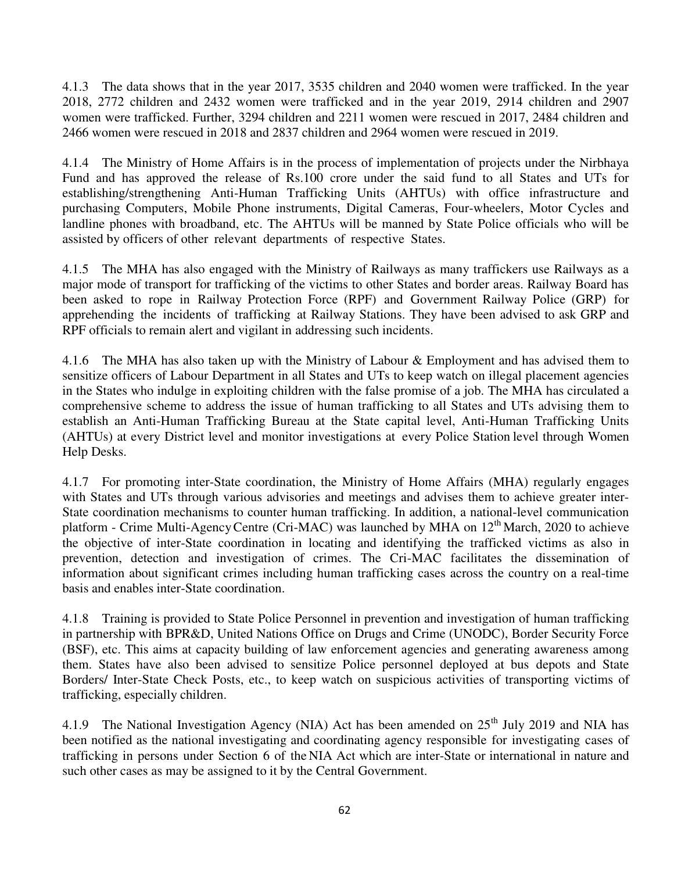4.1.3 The data shows that in the year 2017, 3535 children and 2040 women were trafficked. In the year 2018, 2772 children and 2432 women were trafficked and in the year 2019, 2914 children and 2907 women were trafficked. Further, 3294 children and 2211 women were rescued in 2017, 2484 children and 2466 women were rescued in 2018 and 2837 children and 2964 women were rescued in 2019.

4.1.4 The Ministry of Home Affairs is in the process of implementation of projects under the Nirbhaya Fund and has approved the release of Rs.100 crore under the said fund to all States and UTs for establishing/strengthening Anti-Human Trafficking Units (AHTUs) with office infrastructure and purchasing Computers, Mobile Phone instruments, Digital Cameras, Four-wheelers, Motor Cycles and landline phones with broadband, etc. The AHTUs will be manned by State Police officials who will be assisted by officers of other relevant departments of respective States.

4.1.5 The MHA has also engaged with the Ministry of Railways as many traffickers use Railways as a major mode of transport for trafficking of the victims to other States and border areas. Railway Board has been asked to rope in Railway Protection Force (RPF) and Government Railway Police (GRP) for apprehending the incidents of trafficking at Railway Stations. They have been advised to ask GRP and RPF officials to remain alert and vigilant in addressing such incidents.

4.1.6 The MHA has also taken up with the Ministry of Labour & Employment and has advised them to sensitize officers of Labour Department in all States and UTs to keep watch on illegal placement agencies in the States who indulge in exploiting children with the false promise of a job. The MHA has circulated a comprehensive scheme to address the issue of human trafficking to all States and UTs advising them to establish an Anti-Human Trafficking Bureau at the State capital level, Anti-Human Trafficking Units (AHTUs) at every District level and monitor investigations at every Police Station level through Women Help Desks.

4.1.7 For promoting inter-State coordination, the Ministry of Home Affairs (MHA) regularly engages with States and UTs through various advisories and meetings and advises them to achieve greater inter-State coordination mechanisms to counter human trafficking. In addition, a national-level communication platform - Crime Multi-Agency Centre (Cri-MAC) was launched by MHA on  $12<sup>th</sup>$  March, 2020 to achieve the objective of inter-State coordination in locating and identifying the trafficked victims as also in prevention, detection and investigation of crimes. The Cri-MAC facilitates the dissemination of information about significant crimes including human trafficking cases across the country on a real-time basis and enables inter-State coordination.

4.1.8 Training is provided to State Police Personnel in prevention and investigation of human trafficking in partnership with BPR&D, United Nations Office on Drugs and Crime (UNODC), Border Security Force (BSF), etc. This aims at capacity building of law enforcement agencies and generating awareness among them. States have also been advised to sensitize Police personnel deployed at bus depots and State Borders/ Inter-State Check Posts, etc., to keep watch on suspicious activities of transporting victims of trafficking, especially children.

4.1.9 The National Investigation Agency (NIA) Act has been amended on 25<sup>th</sup> July 2019 and NIA has been notified as the national investigating and coordinating agency responsible for investigating cases of trafficking in persons under Section 6 of the NIA Act which are inter-State or international in nature and such other cases as may be assigned to it by the Central Government.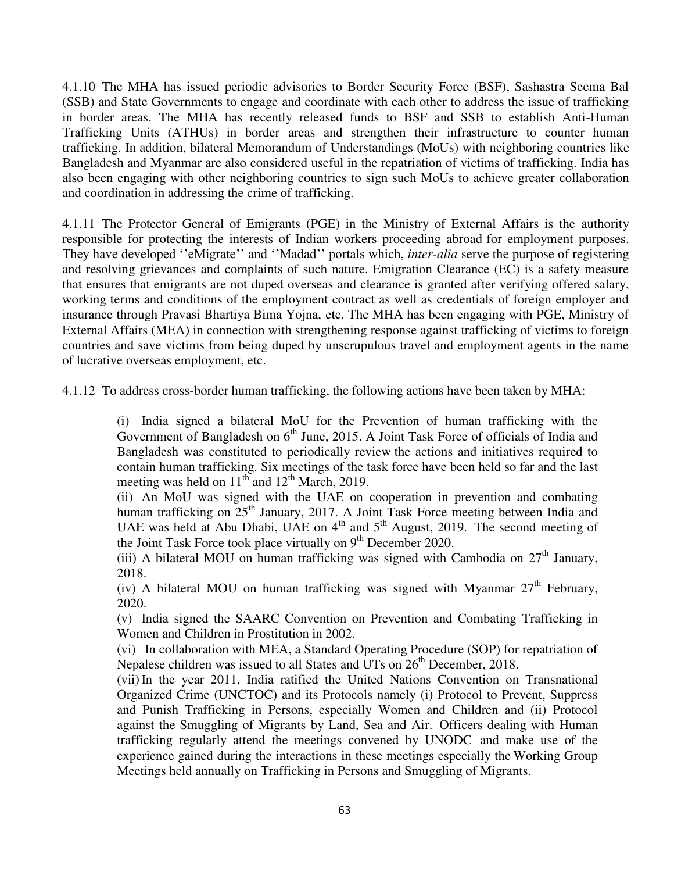4.1.10 The MHA has issued periodic advisories to Border Security Force (BSF), Sashastra Seema Bal (SSB) and State Governments to engage and coordinate with each other to address the issue of trafficking in border areas. The MHA has recently released funds to BSF and SSB to establish Anti-Human Trafficking Units (ATHUs) in border areas and strengthen their infrastructure to counter human trafficking. In addition, bilateral Memorandum of Understandings (MoUs) with neighboring countries like Bangladesh and Myanmar are also considered useful in the repatriation of victims of trafficking. India has also been engaging with other neighboring countries to sign such MoUs to achieve greater collaboration and coordination in addressing the crime of trafficking.

4.1.11 The Protector General of Emigrants (PGE) in the Ministry of External Affairs is the authority responsible for protecting the interests of Indian workers proceeding abroad for employment purposes. They have developed "eMigrate" and "Madad" portals which, *inter-alia* serve the purpose of registering and resolving grievances and complaints of such nature. Emigration Clearance (EC) is a safety measure that ensures that emigrants are not duped overseas and clearance is granted after verifying offered salary, working terms and conditions of the employment contract as well as credentials of foreign employer and insurance through Pravasi Bhartiya Bima Yojna, etc. The MHA has been engaging with PGE, Ministry of External Affairs (MEA) in connection with strengthening response against trafficking of victims to foreign countries and save victims from being duped by unscrupulous travel and employment agents in the name of lucrative overseas employment, etc.

4.1.12 To address cross-border human trafficking, the following actions have been taken by MHA:

(i) India signed a bilateral MoU for the Prevention of human trafficking with the Government of Bangladesh on  $6<sup>th</sup>$  June, 2015. A Joint Task Force of officials of India and Bangladesh was constituted to periodically review the actions and initiatives required to contain human trafficking. Six meetings of the task force have been held so far and the last meeting was held on  $11<sup>th</sup>$  and  $12<sup>th</sup>$  March, 2019.

(ii) An MoU was signed with the UAE on cooperation in prevention and combating human trafficking on 25<sup>th</sup> January, 2017. A Joint Task Force meeting between India and UAE was held at Abu Dhabi, UAE on  $4<sup>th</sup>$  and  $5<sup>th</sup>$  August, 2019. The second meeting of the Joint Task Force took place virtually on  $9<sup>th</sup>$  December 2020.

(iii) A bilateral MOU on human trafficking was signed with Cambodia on  $27<sup>th</sup>$  January, 2018.

(iv) A bilateral MOU on human trafficking was signed with Myanmar  $27<sup>th</sup>$  February, 2020.

(v) India signed the SAARC Convention on Prevention and Combating Trafficking in Women and Children in Prostitution in 2002.

(vi) In collaboration with MEA, a Standard Operating Procedure (SOP) for repatriation of Nepalese children was issued to all States and UTs on  $26<sup>th</sup>$  December, 2018.

(vii) In the year 2011, India ratified the United Nations Convention on Transnational Organized Crime (UNCTOC) and its Protocols namely (i) Protocol to Prevent, Suppress and Punish Trafficking in Persons, especially Women and Children and (ii) Protocol against the Smuggling of Migrants by Land, Sea and Air. Officers dealing with Human trafficking regularly attend the meetings convened by UNODC and make use of the experience gained during the interactions in these meetings especially the Working Group Meetings held annually on Trafficking in Persons and Smuggling of Migrants.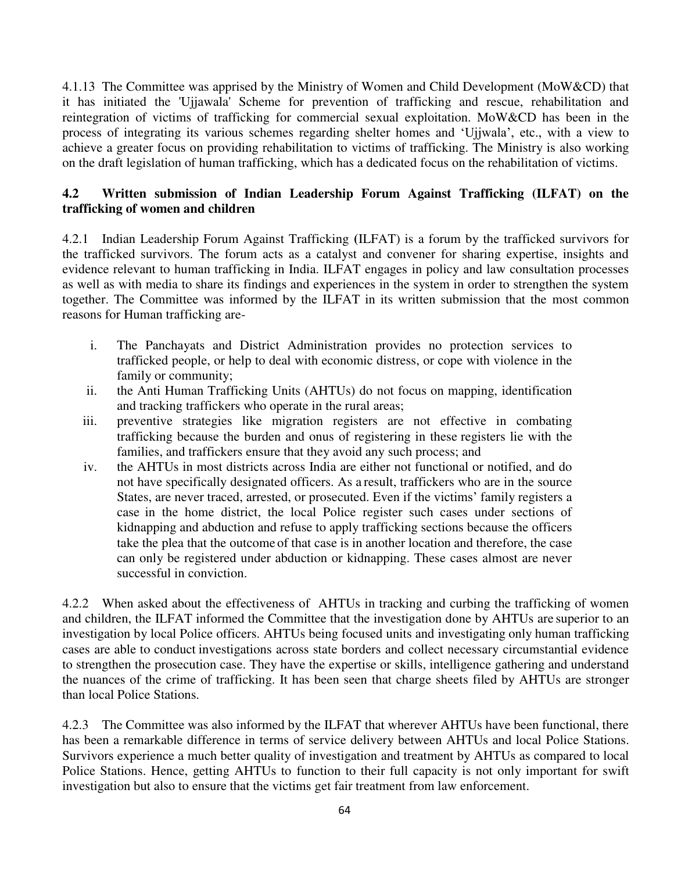4.1.13 The Committee was apprised by the Ministry of Women and Child Development (MoW&CD) that it has initiated the 'Ujjawala' Scheme for prevention of trafficking and rescue, rehabilitation and reintegration of victims of trafficking for commercial sexual exploitation. MoW&CD has been in the process of integrating its various schemes regarding shelter homes and "Ujjwala", etc., with a view to achieve a greater focus on providing rehabilitation to victims of trafficking. The Ministry is also working on the draft legislation of human trafficking, which has a dedicated focus on the rehabilitation of victims.

# **4.2 Written submission of Indian Leadership Forum Against Trafficking (ILFAT) on the trafficking of women and children**

4.2.1 Indian Leadership Forum Against Trafficking **(**ILFAT) is a forum by the trafficked survivors for the trafficked survivors. The forum acts as a catalyst and convener for sharing expertise, insights and evidence relevant to human trafficking in India. ILFAT engages in policy and law consultation processes as well as with media to share its findings and experiences in the system in order to strengthen the system together. The Committee was informed by the ILFAT in its written submission that the most common reasons for Human trafficking are-

- i. The Panchayats and District Administration provides no protection services to trafficked people, or help to deal with economic distress, or cope with violence in the family or community;
- ii. the Anti Human Trafficking Units (AHTUs) do not focus on mapping, identification and tracking traffickers who operate in the rural areas;
- iii. preventive strategies like migration registers are not effective in combating trafficking because the burden and onus of registering in these registers lie with the families, and traffickers ensure that they avoid any such process; and
- iv. the AHTUs in most districts across India are either not functional or notified, and do not have specifically designated officers. As a result, traffickers who are in the source States, are never traced, arrested, or prosecuted. Even if the victims' family registers a case in the home district, the local Police register such cases under sections of kidnapping and abduction and refuse to apply trafficking sections because the officers take the plea that the outcome of that case is in another location and therefore, the case can only be registered under abduction or kidnapping. These cases almost are never successful in conviction.

4.2.2 When asked about the effectiveness of AHTUs in tracking and curbing the trafficking of women and children, the ILFAT informed the Committee that the investigation done by AHTUs are superior to an investigation by local Police officers. AHTUs being focused units and investigating only human trafficking cases are able to conduct investigations across state borders and collect necessary circumstantial evidence to strengthen the prosecution case. They have the expertise or skills, intelligence gathering and understand the nuances of the crime of trafficking. It has been seen that charge sheets filed by AHTUs are stronger than local Police Stations.

4.2.3 The Committee was also informed by the ILFAT that wherever AHTUs have been functional, there has been a remarkable difference in terms of service delivery between AHTUs and local Police Stations. Survivors experience a much better quality of investigation and treatment by AHTUs as compared to local Police Stations. Hence, getting AHTUs to function to their full capacity is not only important for swift investigation but also to ensure that the victims get fair treatment from law enforcement.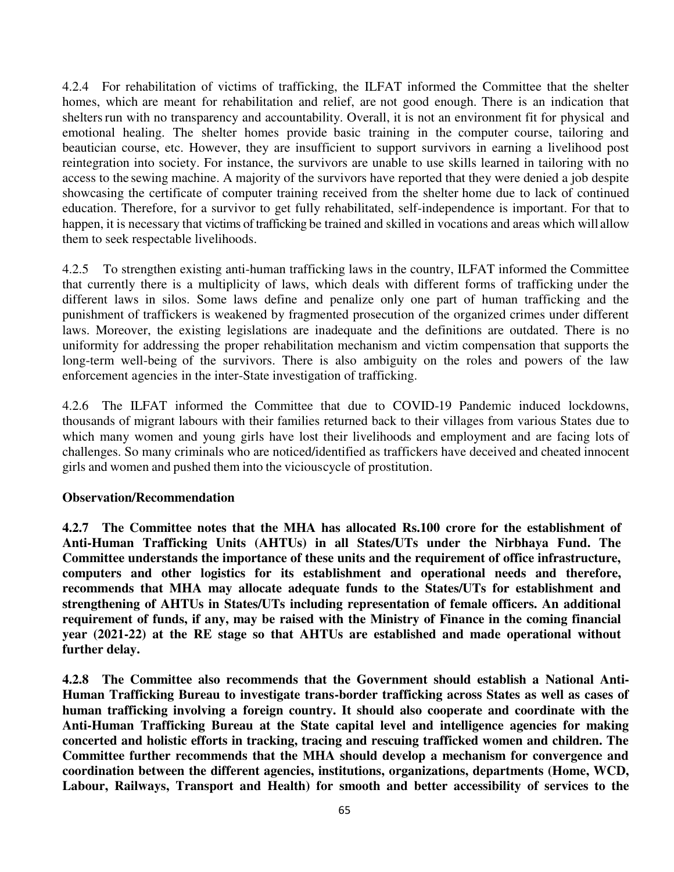4.2.4 For rehabilitation of victims of trafficking, the ILFAT informed the Committee that the shelter homes, which are meant for rehabilitation and relief, are not good enough. There is an indication that shelters run with no transparency and accountability. Overall, it is not an environment fit for physical and emotional healing. The shelter homes provide basic training in the computer course, tailoring and beautician course, etc. However, they are insufficient to support survivors in earning a livelihood post reintegration into society. For instance, the survivors are unable to use skills learned in tailoring with no access to the sewing machine. A majority of the survivors have reported that they were denied a job despite showcasing the certificate of computer training received from the shelter home due to lack of continued education. Therefore, for a survivor to get fully rehabilitated, self-independence is important. For that to happen, it is necessary that victims of trafficking be trained and skilled in vocations and areas which will allow them to seek respectable livelihoods.

4.2.5 To strengthen existing anti-human trafficking laws in the country, ILFAT informed the Committee that currently there is a multiplicity of laws, which deals with different forms of trafficking under the different laws in silos. Some laws define and penalize only one part of human trafficking and the punishment of traffickers is weakened by fragmented prosecution of the organized crimes under different laws. Moreover, the existing legislations are inadequate and the definitions are outdated. There is no uniformity for addressing the proper rehabilitation mechanism and victim compensation that supports the long-term well-being of the survivors. There is also ambiguity on the roles and powers of the law enforcement agencies in the inter-State investigation of trafficking.

4.2.6 The ILFAT informed the Committee that due to COVID-19 Pandemic induced lockdowns, thousands of migrant labours with their families returned back to their villages from various States due to which many women and young girls have lost their livelihoods and employment and are facing lots of challenges. So many criminals who are noticed/identified as traffickers have deceived and cheated innocent girls and women and pushed them into the vicious cycle of prostitution.

## **Observation/Recommendation**

**4.2.7 The Committee notes that the MHA has allocated Rs.100 crore for the establishment of Anti-Human Trafficking Units (AHTUs) in all States/UTs under the Nirbhaya Fund. The Committee understands the importance of these units and the requirement of office infrastructure, computers and other logistics for its establishment and operational needs and therefore, recommends that MHA may allocate adequate funds to the States/UTs for establishment and strengthening of AHTUs in States/UTs including representation of female officers. An additional requirement of funds, if any, may be raised with the Ministry of Finance in the coming financial year (2021-22) at the RE stage so that AHTUs are established and made operational without further delay.**

**4.2.8 The Committee also recommends that the Government should establish a National Anti-Human Trafficking Bureau to investigate trans-border trafficking across States as well as cases of human trafficking involving a foreign country. It should also cooperate and coordinate with the Anti-Human Trafficking Bureau at the State capital level and intelligence agencies for making concerted and holistic efforts in tracking, tracing and rescuing trafficked women and children. The Committee further recommends that the MHA should develop a mechanism for convergence and coordination between the different agencies, institutions, organizations, departments (Home, WCD, Labour, Railways, Transport and Health) for smooth and better accessibility of services to the**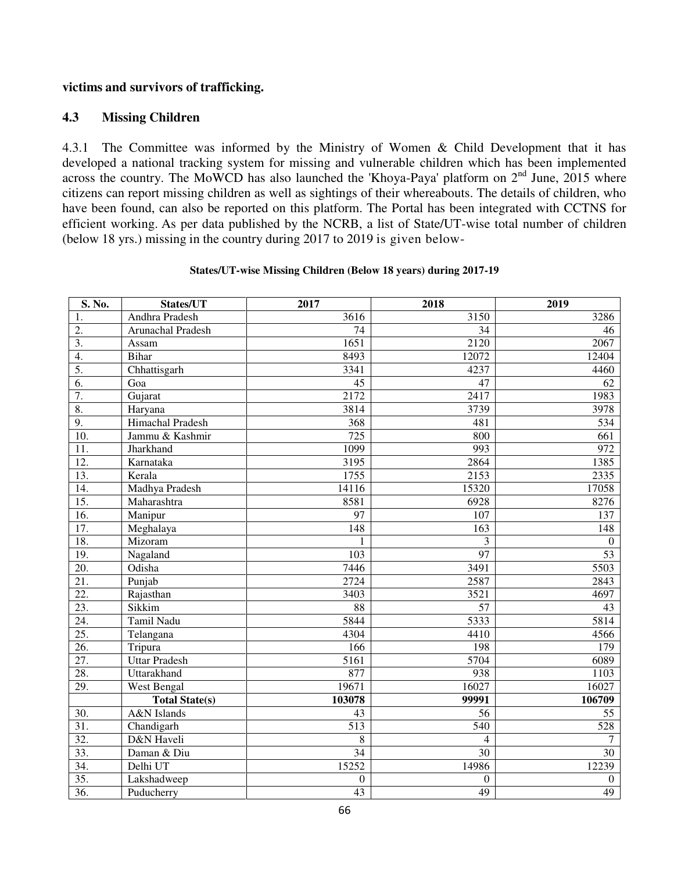## **victims and survivors of trafficking.**

## **4.3 Missing Children**

4.3.1 The Committee was informed by the Ministry of Women & Child Development that it has developed a national tracking system for missing and vulnerable children which has been implemented across the country. The MoWCD has also launched the 'Khoya-Paya' platform on  $2<sup>nd</sup>$  June, 2015 where citizens can report missing children as well as sightings of their whereabouts. The details of children, who have been found, can also be reported on this platform. The Portal has been integrated with CCTNS for efficient working. As per data published by the NCRB, a list of State/UT-wise total number of children (below 18 yrs.) missing in the country during 2017 to 2019 is given below-

| S. No.            | States/UT              | 2017             | 2018             | 2019             |
|-------------------|------------------------|------------------|------------------|------------------|
| 1.                | Andhra Pradesh         | 3616             | 3150             | 3286             |
| $\overline{2}$ .  | Arunachal Pradesh      | 74               | 34               | 46               |
| $\overline{3}$ .  | Assam                  | 1651             | 2120             | 2067             |
| $\overline{4}$ .  | <b>Bihar</b>           | 8493             | 12072            | 12404            |
| 5.                | Chhattisgarh           | 3341             | 4237             | 4460             |
| 6.                | Goa                    | 45               | 47               | 62               |
| 7.                | Gujarat                | 2172             | 2417             | 1983             |
| 8.                | Haryana                | 3814             | 3739             | 3978             |
| 9.                | Himachal Pradesh       | 368              | 481              | 534              |
| $\overline{10}$ . | Jammu & Kashmir        | 725              | 800              | 661              |
| $\overline{11}$ . | Jharkhand              | 1099             | 993              | 972              |
| $\overline{12}$ . | Karnataka              | 3195             | 2864             | 1385             |
| 13.               | Kerala                 | 1755             | 2153             | 2335             |
| $\overline{14}$ . | Madhya Pradesh         | 14116            | 15320            | 17058            |
| $\overline{15}$ . | Maharashtra            | 8581             | 6928             | 8276             |
| 16.               | Manipur                | 97               | 107              | 137              |
| 17.               | Meghalaya              | 148              | 163              | 148              |
| 18.               | Mizoram                | $\mathbf{1}$     | 3                | $\boldsymbol{0}$ |
| 19.               | Nagaland               | 103              | 97               | 53               |
| 20.               | Odisha                 | 7446             | 3491             | 5503             |
| $\overline{21}$ . | Punjab                 | 2724             | 2587             | 2843             |
| 22.               | Rajasthan              | 3403             | 3521             | 4697             |
| 23.               | Sikkim                 | 88               | 57               | 43               |
| 24.               | Tamil Nadu             | 5844             | 5333             | 5814             |
| 25.               | Telangana              | 4304             | 4410             | 4566             |
| 26.               | Tripura                | 166              | 198              | 179              |
| 27.               | <b>Uttar Pradesh</b>   | 5161             | 5704             | 6089             |
| 28.               | Uttarakhand            | 877              | 938              | 1103             |
| 29.               | <b>West Bengal</b>     | 19671            | 16027            | 16027            |
|                   | <b>Total State(s)</b>  | 103078           | 99991            | 106709           |
| 30.               | <b>A&amp;N</b> Islands | 43               | 56               | 55               |
| 31.               | Chandigarh             | 513              | $\overline{540}$ | 528              |
| 32.               | D&N Haveli             | $\overline{8}$   | $\overline{4}$   | 7                |
| 33.               | Daman & Diu            | $\overline{34}$  | $\overline{30}$  | $\overline{30}$  |
| 34.               | Delhi UT               | 15252            | 14986            | 12239            |
| 35.               | Lakshadweep            | $\boldsymbol{0}$ | $\mathbf{0}$     | $\boldsymbol{0}$ |
| $\overline{36}$ . | Puducherry             | $\overline{43}$  | $\overline{49}$  | 49               |

#### **States/UT-wise Missing Children (Below 18 years) during 2017-19**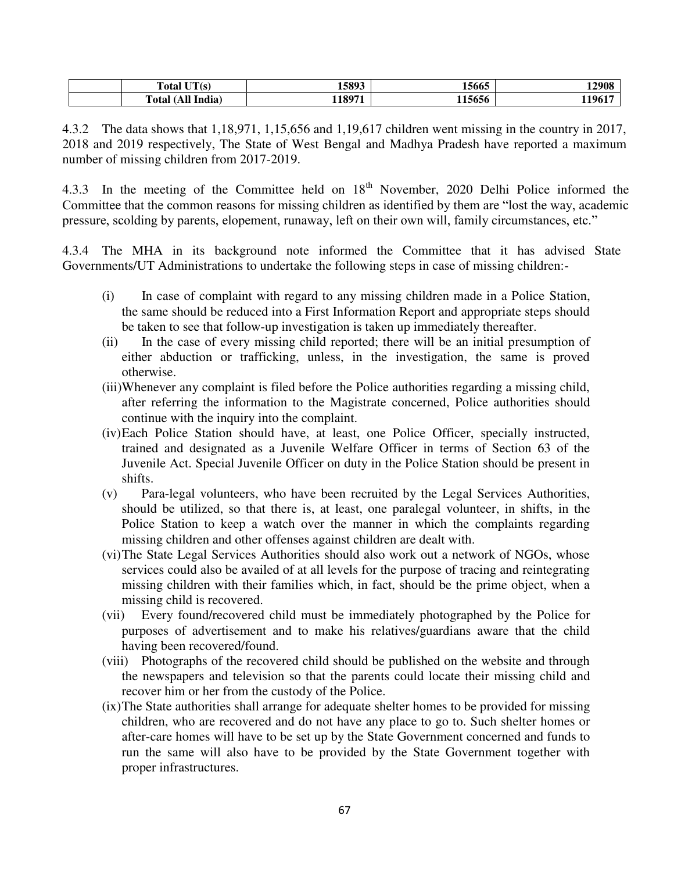| $T^{\dagger}T(s)$<br><b>Total</b> | 15893  | 15665  | 12908  |
|-----------------------------------|--------|--------|--------|
| India <sup>)</sup><br>rotal<br>A  | 11897* | 115656 | 119617 |

4.3.2 The data shows that 1,18,971, 1,15,656 and 1,19,617 children went missing in the country in 2017, 2018 and 2019 respectively, The State of West Bengal and Madhya Pradesh have reported a maximum number of missing children from 2017-2019.

4.3.3 In the meeting of the Committee held on  $18<sup>th</sup>$  November, 2020 Delhi Police informed the Committee that the common reasons for missing children as identified by them are "lost the way, academic pressure, scolding by parents, elopement, runaway, left on their own will, family circumstances, etc."

4.3.4 The MHA in its background note informed the Committee that it has advised State Governments/UT Administrations to undertake the following steps in case of missing children:-

- (i) In case of complaint with regard to any missing children made in a Police Station, the same should be reduced into a First Information Report and appropriate steps should be taken to see that follow-up investigation is taken up immediately thereafter.
- (ii) In the case of every missing child reported; there will be an initial presumption of either abduction or trafficking, unless, in the investigation, the same is proved otherwise.
- (iii)Whenever any complaint is filed before the Police authorities regarding a missing child, after referring the information to the Magistrate concerned, Police authorities should continue with the inquiry into the complaint.
- (iv)Each Police Station should have, at least, one Police Officer, specially instructed, trained and designated as a Juvenile Welfare Officer in terms of Section 63 of the Juvenile Act. Special Juvenile Officer on duty in the Police Station should be present in shifts.
- (v) Para-legal volunteers, who have been recruited by the Legal Services Authorities, should be utilized, so that there is, at least, one paralegal volunteer, in shifts, in the Police Station to keep a watch over the manner in which the complaints regarding missing children and other offenses against children are dealt with.
- (vi)The State Legal Services Authorities should also work out a network of NGOs, whose services could also be availed of at all levels for the purpose of tracing and reintegrating missing children with their families which, in fact, should be the prime object, when a missing child is recovered.
- (vii) Every found/recovered child must be immediately photographed by the Police for purposes of advertisement and to make his relatives/guardians aware that the child having been recovered/found.
- (viii) Photographs of the recovered child should be published on the website and through the newspapers and television so that the parents could locate their missing child and recover him or her from the custody of the Police.
- (ix)The State authorities shall arrange for adequate shelter homes to be provided for missing children, who are recovered and do not have any place to go to. Such shelter homes or after-care homes will have to be set up by the State Government concerned and funds to run the same will also have to be provided by the State Government together with proper infrastructures.